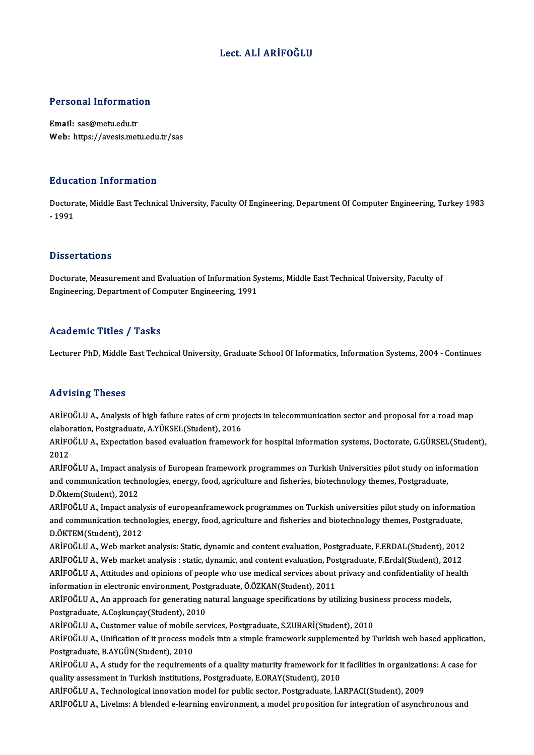## Lect. ALİ ARİFOĞLU

# Personal Information

Personal Information<br>Email: sas@metu.edu.tr<br>Web: https://avesis.met Email: sas@metu.edu.tr<br>Web: https://avesis.metu.edu.tr/sas

### Education Information

**Education Information**<br>Doctorate, Middle East Technical University, Faculty Of Engineering, Department Of Computer Engineering, Turkey 1983<br>1991 Dunce<br>Doctora<br>- 1991 - 1991<br>Dissertations

Dissertations<br>Doctorate, Measurement and Evaluation of Information Systems, Middle East Technical University, Faculty of<br>Engineering, Department of Computer Engineering, 1991 Bassea tacrons<br>Doctorate, Measurement and Evaluation of Information Sy<br>Engineering, Department of Computer Engineering, 1991 Engineering, Department of Computer Engineering, 1991<br>Academic Titles / Tasks

Lecturer PhD, Middle East Technical University, Graduate School Of Informatics, Information Systems, 2004 - Continues

### Advising Theses

Advising Theses<br>ARİFOĞLU A., Analysis of high failure rates of crm projects in telecommunication sector and proposal for a road map<br>alaboration, Postsreduate, A.VİIKSEL(Student), 2016 elaboration, Presses<br>ARİFOĞLU A., Analysis of high failure rates of crm pro<br>elaboration, Postgraduate, A.YÜKSEL(Student), 2016<br>ARİFOĞLU A., Evnestation based evaluation framewer ARİFOĞLU A., Analysis of high failure rates of crm projects in telecommunication sector and proposal for a road map<br>elaboration, Postgraduate, A.YÜKSEL(Student), 2016<br>ARİFOĞLU A., Expectation based evaluation framework for

elaboration, Postgraduate, A.YÜKSEL(Student), 2016<br>ARİFOĞLU A., Expectation based evaluation framework for hospital information systems, Doctorate, G.GÜRSEL(Studen<br>2012<br>ARİFOĞLU A., Impact analysis of European framework pr ARİFOĞLU A., Expectation based evaluation framework for hospital information systems, Doctorate, G.GÜRSEL(Student<br>2012<br>ARİFOĞLU A., Impact analysis of European framework programmes on Turkish Universities pilot study on in

2012<br>ARİFOĞLU A., Impact analysis of European framework programmes on Turkish Universities pilot study on info<br>and communication technologies, energy, food, agriculture and fisheries, biotechnology themes, Postgraduate,<br>P. ARİFOĞLU A., Impact ana<br>and communication tech<br>D.Öktem(Student), 2012<br>ARİFOĞLU A., Impact ana and communication technologies, energy, food, agriculture and fisheries, biotechnology themes, Postgraduate,<br>D.Öktem(Student), 2012<br>ARİFOĞLU A., Impact analysis of europeanframework programmes on Turkish universities pilot

D.Öktem(Student), 2012<br>ARİFOĞLU A., Impact analysis of europeanframework programmes on Turkish universities pilot study on informat<br>and communication technologies, energy, food, agriculture and fisheries and biotechnology and communication technologies, energy, food, agriculture and fisheries and biotechnology themes, Postgraduate,<br>D.ÖKTEM(Student), 2012 and communication technologies, energy, food, agriculture and fisheries and biotechnology themes, Postgraduate,<br>D.ÖKTEM(Student), 2012<br>ARİFOĞLU A., Web market analysis: Static, dynamic and content evaluation, Postgraduate,

D.ÖKTEM(Student), 2012<br>ARİFOĞLU A., Web market analysis: Static, dynamic and content evaluation, Postgraduate, F.ERDAL(Student), 2012<br>ARİFOĞLU A., Web market analysis : static, dynamic, and content evaluation, Postgraduate ARİFOĞLU A., Web market analysis: Static, dynamic and content evaluation, Postgraduate, F.ERDAL(Student), 2012<br>ARİFOĞLU A., Web market analysis : static, dynamic, and content evaluation, Postgraduate, F.Erdal(Student), 201 ARİFOĞLU A., Web market analysis : static, dynamic, and content evaluation, Pos<br>ARİFOĞLU A., Attitudes and opinions of people who use medical services about<br>information in electronic environment, Postgraduate, Ö.ÖZKAN(Stud ARİFOĞLU A., Attitudes and opinions of people who use medical services about privacy and confidentiality of he<br>information in electronic environment, Postgraduate, Ö.ÖZKAN(Student), 2011<br>ARİFOĞLU A., An approach for genera

information in electronic environment, Postgraduate, Ö.ÖZKAN(Student), 2011<br>ARİFOĞLU A., An approach for generating natural language specifications by utilizing busi<br>Postgraduate, A.Coşkunçay(Student), 2010<br>ARİFOĞLU A., Cu ARİFOĞLU A., An approach for generating natural language specifications by utilizing business process models,

Postgraduate, A.Coşkunçay(Student), 2010<br>ARİFOĞLU A., Customer value of mobile services, Postgraduate, S.ZUBARİ(Student), 2010<br>ARİFOĞLU A., Unification of it process models into a simple framework supplemented by Turkish w Postgraduate, B.AYGÜN(Student), 2010 ARİFOĞLU A., Unification of it process models into a simple framework supplemented by Turkish web based applicatio<br>Postgraduate, B.AYGÜN(Student), 2010<br>ARİFOĞLU A., A study for the requirements of a quality maturity framew

ARİFOĞLU A., A study for the requirements of a quality maturity framework for it facilities in organizations: A case for<br>quality assessment in Turkish institutions, Postgraduate, E.ORAY(Student), 2010 ARİFOĞLU A., A study for the requirements of a quality maturity framework for it facilities in organization<br>quality assessment in Turkish institutions, Postgraduate, E.ORAY(Student), 2010<br>ARİFOĞLU A., Technological innovat quality assessment in Turkish institutions, Postgraduate, E.ORAY(Student), 2010<br>ARİFOĞLU A., Technological innovation model for public sector, Postgraduate, İ.ARPACI(Student), 2009<br>ARİFOĞLU A., Livelms: A blended e-learnin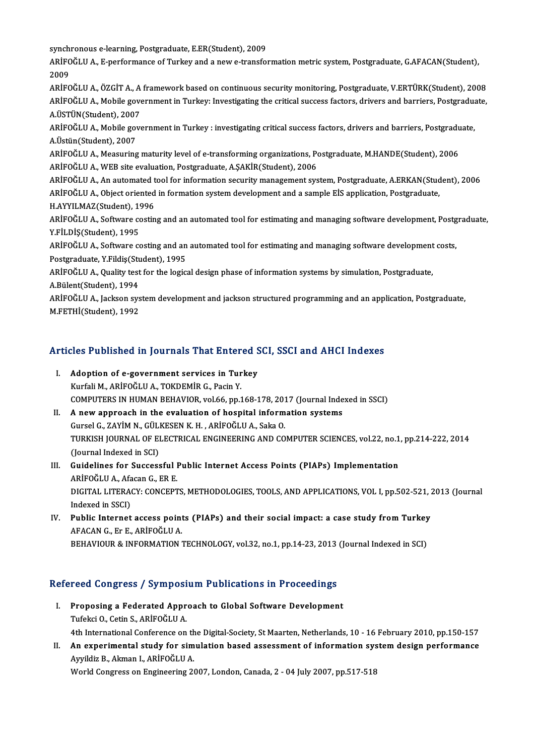synchronous e-learning, Postgraduate, E.ER(Student), 2009<br>APİEQČLILA, E porformanes of Turkey and a new a transfo

ARİFOĞLU A., E-performance of Turkey and a new e-transformation metric system, Postgraduate, G.AFACAN(Student),<br>2009 synch<br>ARİFC<br>2009<br>ARİFC ARİFOĞLU A., E-performance of Turkey and a new e-transformation metric system, Postgraduate, G.AFACAN(Student),<br>2009<br>ARİFOĞLU A., ÖZGİT A., A framework based on continuous security monitoring, Postgraduate, V.ERTÜRK(Studen

2009<br>ARİFOĞLU A., ÖZGİT A., A framework based on continuous security monitoring, Postgraduate, V.ERTÜRK(Student), 2008<br>ARİFOĞLU A., Mobile government in Turkey: Investigating the critical success factors, drivers and barri ARİFOĞLU A., ÖZGİT A., A<br>ARİFOĞLU A., Mobile gove<br>A.ÜSTÜN(Student), 2007<br>ARİFOĞLU A., Mobile gove ARİFOĞLU A., Mobile government in Turkey: Investigating the critical success factors, drivers and barriers, Postgradua<br>A.ÜSTÜN(Student), 2007<br>ARİFOĞLU A., Mobile government in Turkey : investigating critical success factor

A.ÜSTÜN(Student), 2007<br>ARİFOĞLU A., Mobile gov<br>A.Üstün(Student), 2007<br>ARİFOĞLU A. Moasuring ARİFOĞLU A., Mobile government in Turkey : investigating critical success factors, drivers and barriers, Postgradu<br>A.Üstün(Student), 2007<br>ARİFOĞLU A., Measuring maturity level of e-transforming organizations, Postgraduate,

A.Üstün(Student), 2007<br>ARİFOĞLU A., Measuring maturity level of e-transforming organizations, Postgraduate, M.HANDE(Student), 2006<br>ARİFOĞLU A., WEB site evaluation, Postgraduate, A.ŞAKİR(Student), 2006 ARİFOĞLU A., Measuring maturity level of e-transforming organizations, Postgraduate, M.HANDE(Student), 2006<br>ARİFOĞLU A., WEB site evaluation, Postgraduate, A.ŞAKİR(Student), 2006<br>ARİFOĞLU A., An automated tool for informat

ARİFOĞLU A., WEB site evaluation, Postgraduate, A.ŞAKİR(Student), 2006<br>ARİFOĞLU A., An automated tool for information security management system, Postgraduate, A.ERKAN(Stud<br>ARİFOĞLU A., Object oriented in formation system ARİFOĞLU A., An automated t<br>ARİFOĞLU A., Object oriented<br>H.AYYILMAZ(Student), 1996<br>ARİFOĞLU A. Softurara sastin ARİFOĞLU A., Object oriented in formation system development and a sample EİS application, Postgraduate,<br>H.AYYILMAZ(Student), 1996<br>ARİFOĞLU A., Software costing and an automated tool for estimating and managing software de

H.AYYILMAZ(Student), 19<br>ARİFOĞLU A., Software co<br>Y.FİLDİŞ(Student), 1995<br>ARİFOĞLU A., Software co ARİFOĞLU A., Software costing and an automated tool for estimating and managing software development, Postg<br>Y.FİLDİŞ(Student), 1995<br>ARİFOĞLU A., Software costing and an automated tool for estimating and managing software d

Y.FİLDİŞ(Student), 1995<br>ARİFOĞLU A., Software costing and an<br>Postgraduate, Y.Fildiş(Student), 1995<br>ARİFOĞLU A. Quality test for the logis ARİFOĞLU A., Software costing and an automated tool for estimating and managing software development<br>Postgraduate, Y.Fildiş(Student), 1995<br>ARİFOĞLU A., Quality test for the logical design phase of information systems by si

Postgraduate, Y.Fildiş(Student), 1995<br>ARİFOĞLU A., Quality test for the logical design phase of information systems by simulation, Postgraduate,<br>A.Bülent(Student), 1994 ARİFOĞLU A., Quality test for the logical design phase of information systems by simulation, Postgraduate,<br>A.Bülent(Student), 1994<br>ARİFOĞLU A., Jackson system development and jackson structured programming and an applicati

A.Bülent(Student), 1994<br>ARİFOĞLU A., Jackson sys<br>M.FETHİ(Student), 1992

# M.FETHI(Suudent), 1992<br>Articles Published in Journals That Entered SCI, SSCI and AHCI Indexes

- **Tricles Published in Journals That Entered Strate Control**<br>I. Adoption of e-government services in Turkey<br>Kurfali M. ABİEQĞLUA TOKREMİR G. Besin V I. Adoption of e-government services in Turkey<br>Kurfali M., ARİFOĞLU A., TOKDEMİR G., Pacin Y. COMPUTERS INHUMANBEHAVIOR,vol.66,pp.168-178,2017 (Journal Indexed inSSCI)
- II. A new approach in the evaluation of hospital information systems COMPUTERS IN HUMAN BEHAVIOR, vol.66, pp.168-178, 201<br>A new approach in the evaluation of hospital inform<br>Gursel G., ZAYİM N., GÜLKESEN K. H. , ARİFOĞLU A., Saka O.<br>TURKISH JOURNAL OF ELECTRICAL ENCINEFRINC AND CO TURKISH JOURNAL OF ELECTRICAL ENGINEERING AND COMPUTER SCIENCES, vol.22, no.1, pp.214-222, 2014<br>(Journal Indexed in SCI) Gursel G., ZAYİM N., GÜLI<br>TURKISH JOURNAL OF EI<br>(Journal Indexed in SCI)<br>Cuidelines for Sussess TURKISH JOURNAL OF ELECTRICAL ENGINEERING AND COMPUTER SCIENCES, vol.22, no.1<br>(Journal Indexed in SCI)<br>III. Guidelines for Successful Public Internet Access Points (PIAPs) Implementation<br>APIEOČLUA Afesan G ER E
- (Journal Indexed in SCI)<br>Guidelines for Successful I<br>ARİFOĞLU A., Afacan G., ER E.<br>DICITAL LITERACY: CONCERT Guidelines for Successful Public Internet Access Points (PIAPs) Implementation<br>ARİFOĞLU A., Afacan G., ER E.<br>DIGITAL LITERACY: CONCEPTS, METHODOLOGIES, TOOLS, AND APPLICATIONS, VOL I, pp.502-521, 2013 (Journal<br>Indeved in S ARİFOĞLU A., Afa<br>DIGITAL LITERA<br>Indexed in SSCI)<br>Publis Internet DIGITAL LITERACY: CONCEPTS, METHODOLOGIES, TOOLS, AND APPLICATIONS, VOL I, pp.502-521, 2<br>Indexed in SSCI)<br>IV. Public Internet access points (PIAPs) and their social impact: a case study from Turkey
- Indexed in SSCI)<br>IV. Public Internet access points (PIAPs) and their social impact: a case study from Turkey<br>AFACAN G., Er E., ARİFOĞLU A. BEHAVIOUR & INFORMATION TECHNOLOGY, vol.32, no.1, pp.14-23, 2013 (Journal Indexed in SCI)

# BEHAVIOOK & INFORMATION TECHNOLOGY, VOLSZ, NO.1, pp.14-25, 2013<br>Refereed Congress / Symposium Publications in Proceedings

- efereed Congress / Symposium Publications in Proceedings<br>I. Proposing a Federated Approach to Global Software Development<br>Tufoksi O. Cetin S. ARIEOČLUA I. Proposing a Federated Approach to Global Software Development<br>Tufekci O., Cetin S., ARİFOĞLU A. Proposing a Federated Approach to Global Software Development<br>Tufekci O., Cetin S., ARİFOĞLU A.<br>4th International Conference on the Digital-Society, St Maarten, Netherlands, 10 - 16 February 2010, pp.150-157<br>An evnerimenta Tufekci O., Cetin S., ARİFOĞLU A.<br>4th International Conference on the Digital-Society, St Maarten, Netherlands, 10 - 16 February 2010, pp.150-157<br>1. An experimental study for simulation based assessment of information syst
- 4th International Conference on th<br>An experimental study for sim<br>Ayyildiz B., Akman I., ARİFOĞLU A.<br>Werld Congress en Engineering 24 II. An experimental study for simulation based assessment of information system design performance<br>Ayyildiz B., Akman I., ARİFOĞLU A.<br>World Congress on Engineering 2007, London, Canada, 2 - 04 July 2007, pp.517-518